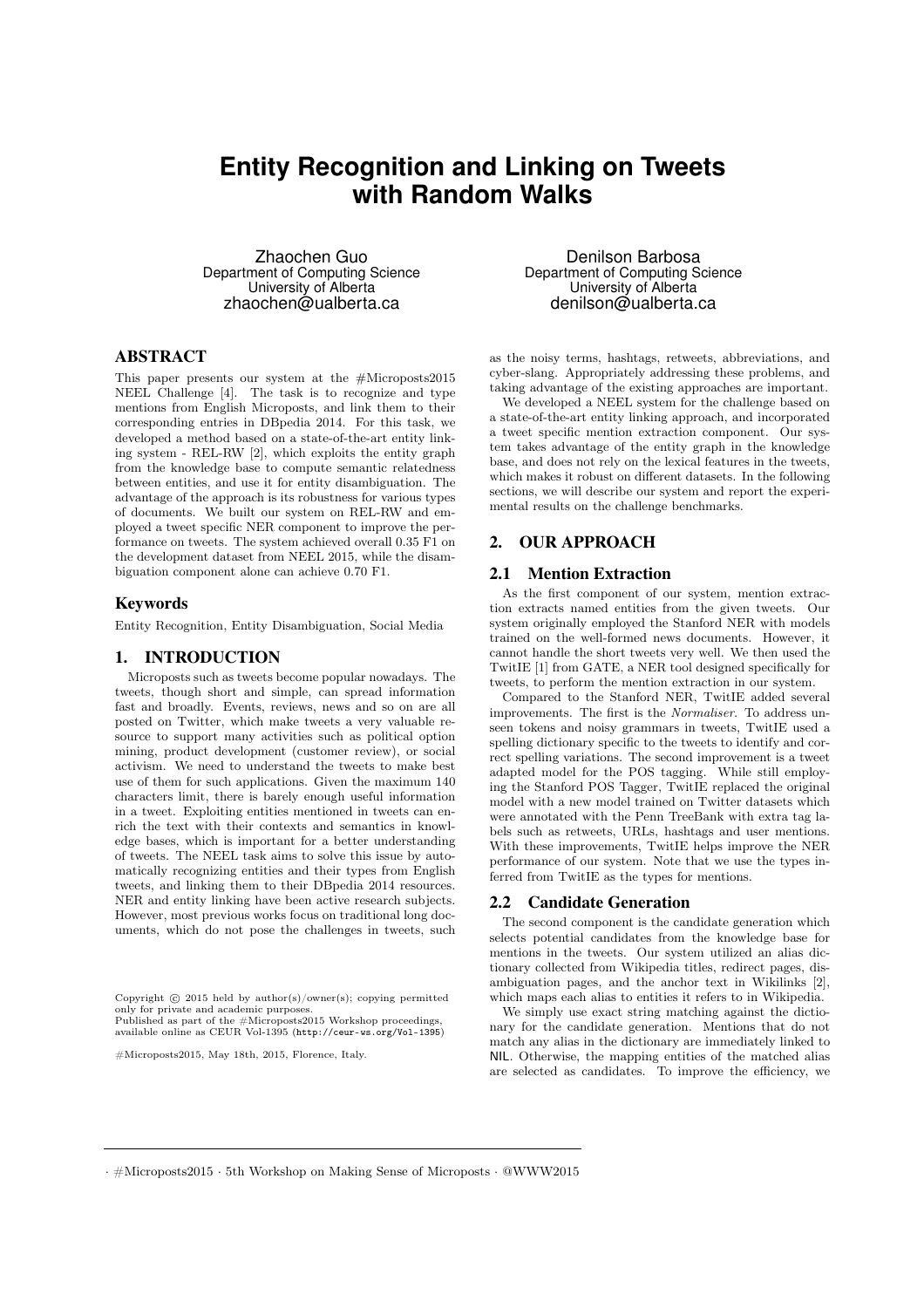# **Entity Recognition and Linking on Tweets with Random Walks**

Zhaochen Guo Department of Computing Science University of Alberta zhaochen@ualberta.ca

## ABSTRACT

This paper presents our system at the #Microposts2015 NEEL Challenge [4]. The task is to recognize and type mentions from English Microposts, and link them to their corresponding entries in DBpedia 2014. For this task, we developed a method based on a state-of-the-art entity linking system - REL-RW [2], which exploits the entity graph from the knowledge base to compute semantic relatedness between entities, and use it for entity disambiguation. The advantage of the approach is its robustness for various types of documents. We built our system on REL-RW and employed a tweet specific NER component to improve the performance on tweets. The system achieved overall 0.35 F1 on the development dataset from NEEL 2015, while the disambiguation component alone can achieve 0.70 F1.

#### Keywords

Entity Recognition, Entity Disambiguation, Social Media

#### 1. INTRODUCTION

Microposts such as tweets become popular nowadays. The tweets, though short and simple, can spread information fast and broadly. Events, reviews, news and so on are all posted on Twitter, which make tweets a very valuable resource to support many activities such as political option mining, product development (customer review), or social activism. We need to understand the tweets to make best use of them for such applications. Given the maximum 140 characters limit, there is barely enough useful information in a tweet. Exploiting entities mentioned in tweets can enrich the text with their contexts and semantics in knowledge bases, which is important for a better understanding of tweets. The NEEL task aims to solve this issue by automatically recognizing entities and their types from English tweets, and linking them to their DBpedia 2014 resources. NER and entity linking have been active research subjects. However, most previous works focus on traditional long documents, which do not pose the challenges in tweets, such

available online as CEUR Vol-1395 (http://ceur-ws.org/Vol-1395)

 $\pm$ Microposts 2015, May 18th, 2015, Florence, Italy  $\# \text{Micro posts2015}$ , May 18th, 2015, Florence, Italy.

Denilson Barbosa Department of Computing Science University of Alberta denilson@ualberta.ca

as the noisy terms, hashtags, retweets, abbreviations, and cyber-slang. Appropriately addressing these problems, and taking advantage of the existing approaches are important.

We developed a NEEL system for the challenge based on a state-of-the-art entity linking approach, and incorporated a tweet specific mention extraction component. Our system takes advantage of the entity graph in the knowledge base, and does not rely on the lexical features in the tweets, which makes it robust on different datasets. In the following sections, we will describe our system and report the experimental results on the challenge benchmarks.

## 2. OUR APPROACH

### 2.1 Mention Extraction

As the first component of our system, mention extraction extracts named entities from the given tweets. Our system originally employed the Stanford NER with models trained on the well-formed news documents. However, it cannot handle the short tweets very well. We then used the TwitIE [1] from GATE, a NER tool designed specifically for tweets, to perform the mention extraction in our system.

Compared to the Stanford NER, TwitIE added several improvements. The first is the *Normaliser*. To address unseen tokens and noisy grammars in tweets, TwitIE used a spelling dictionary specific to the tweets to identify and correct spelling variations. The second improvement is a tweet adapted model for the POS tagging. While still employing the Stanford POS Tagger, TwitIE replaced the original model with a new model trained on Twitter datasets which were annotated with the Penn TreeBank with extra tag labels such as retweets, URLs, hashtags and user mentions. With these improvements, TwitIE helps improve the NER performance of our system. Note that we use the types inferred from TwitIE as the types for mentions.

#### 2.2 Candidate Generation

The second component is the candidate generation which selects potential candidates from the knowledge base for mentions in the tweets. Our system utilized an alias dictionary collected from Wikipedia titles, redirect pages, disambiguation pages, and the anchor text in Wikilinks [2], which maps each alias to entities it refers to in Wikipedia.

We simply use exact string matching against the dictionary for the candidate generation. Mentions that do not match any alias in the dictionary are immediately linked to NIL. Otherwise, the mapping entities of the matched alias are selected as candidates. To improve the efficiency, we

*·* #Microposts2015 *·* 5th Workshop on Making Sense of Microposts *·* @WWW2015

Copyright  $\odot$  2015 held by author(s)/owner(s); copying permitted only for private and academic purposes. Published as part of the  $\#$ Microposts2015 Workshop proceedings, only for private and academic purposes. Published as part of the #Microposts2015 Workshop proceedings,